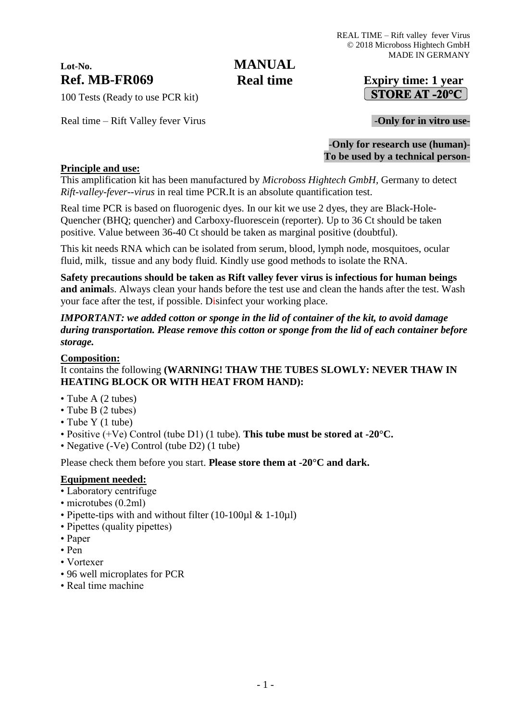## **Lot-No. Ref. MB-FR069 Expiry time: 1 year**

# **MANUAL Real time**

# **STORE AT -20°C**

100 Tests (Ready to use PCR kit)

Real time – Rift Valley fever Virus **-Only for in vitro use-**

#### -**Only for research use (human)**- **To be used by a technical person-**

#### **Principle and use:**

This amplification kit has been manufactured by *Microboss Hightech GmbH,* Germany to detect *Rift-valley-fever--virus* in real time PCR.It is an absolute quantification test.

Real time PCR is based on fluorogenic dyes. In our kit we use 2 dyes, they are Black-Hole-Quencher (BHQ; quencher) and Carboxy-fluorescein (reporter). Up to 36 Ct should be taken positive. Value between 36-40 Ct should be taken as marginal positive (doubtful).

This kit needs RNA which can be isolated from serum, blood, lymph node, mosquitoes, ocular fluid, milk, tissue and any body fluid. Kindly use good methods to isolate the RNA.

**Safety precautions should be taken as Rift valley fever virus is infectious for human beings and animal**s. Always clean your hands before the test use and clean the hands after the test. Wash your face after the test, if possible. Disinfect your working place.

#### *IMPORTANT: we added cotton or sponge in the lid of container of the kit, to avoid damage during transportation. Please remove this cotton or sponge from the lid of each container before storage.*

#### **Composition:**

### It contains the following **(WARNING! THAW THE TUBES SLOWLY: NEVER THAW IN HEATING BLOCK OR WITH HEAT FROM HAND):**

- Tube A (2 tubes)
- Tube B (2 tubes)
- Tube Y (1 tube)
- Positive (+Ve) Control (tube D1) (1 tube). **This tube must be stored at -20°C.**
- Negative (-Ve) Control (tube D2) (1 tube)

Please check them before you start. **Please store them at -20°C and dark.**

#### **Equipment needed:**

- Laboratory centrifuge
- microtubes (0.2ml)
- Pipette-tips with and without filter (10-100µl & 1-10µl)
- Pipettes (quality pipettes)
- Paper
- Pen
- Vortexer
- 96 well microplates for PCR
- Real time machine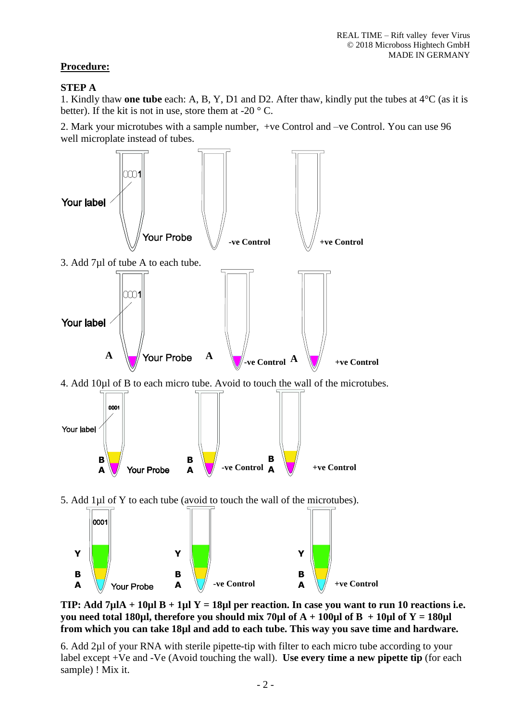### **Procedure:**

#### **STEP A**

1. Kindly thaw **one tube** each: A, B, Y, D1 and D2. After thaw, kindly put the tubes at 4°C (as it is better). If the kit is not in use, store them at -20  $\degree$  C.

2. Mark your microtubes with a sample number, +ve Control and –ve Control. You can use 96 well microplate instead of tubes.



**TIP:** Add  $7\mu$ IA +  $10\mu$ I B +  $1\mu$ I Y =  $18\mu$ I per reaction. In case you want to run 10 reactions i.e. **you need total 180µl, therefore you should mix 70µl of**  $A + 100\mu$ **l of**  $B + 10\mu$ **l of**  $Y = 180\mu$ **l from which you can take 18µl and add to each tube. This way you save time and hardware.**

6. Add 2µl of your RNA with sterile pipette-tip with filter to each micro tube according to your label except +Ve and -Ve (Avoid touching the wall). **Use every time a new pipette tip** (for each sample) ! Mix it.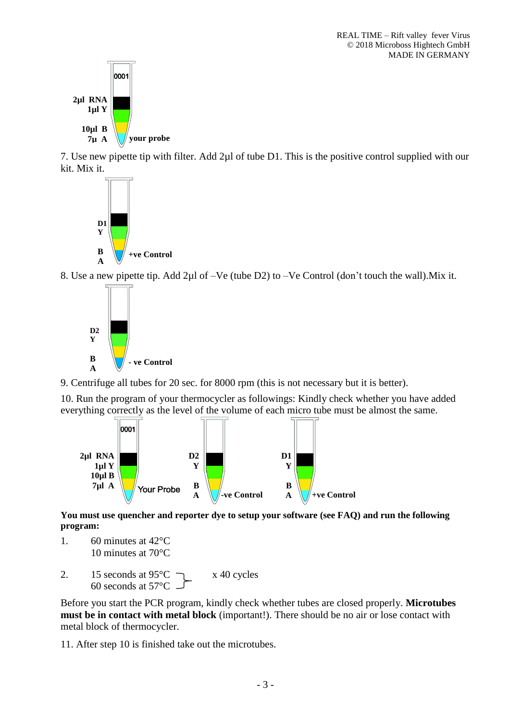

7. Use new pipette tip with filter. Add 2µl of tube D1. This is the positive control supplied with our kit. Mix it.



8. Use a new pipette tip. Add 2µl of –Ve (tube D2) to –Ve Control (don't touch the wall).Mix it.



9. Centrifuge all tubes for 20 sec. for 8000 rpm (this is not necessary but it is better).

10. Run the program of your thermocycler as followings: Kindly check whether you have added everything correctly as the level of the volume of each micro tube must be almost the same.



**You must use quencher and reporter dye to setup your software (see FAQ) and run the following program:**

- 1. 60 minutes at 42°C 10 minutes at 70°C
- 2. 15 seconds at  $95^{\circ}$ C  $\qquad \qquad$  x 40 cycles 60 seconds at 57°C

Before you start the PCR program, kindly check whether tubes are closed properly. **Microtubes must be in contact with metal block** (important!). There should be no air or lose contact with metal block of thermocycler.

11. After step 10 is finished take out the microtubes.